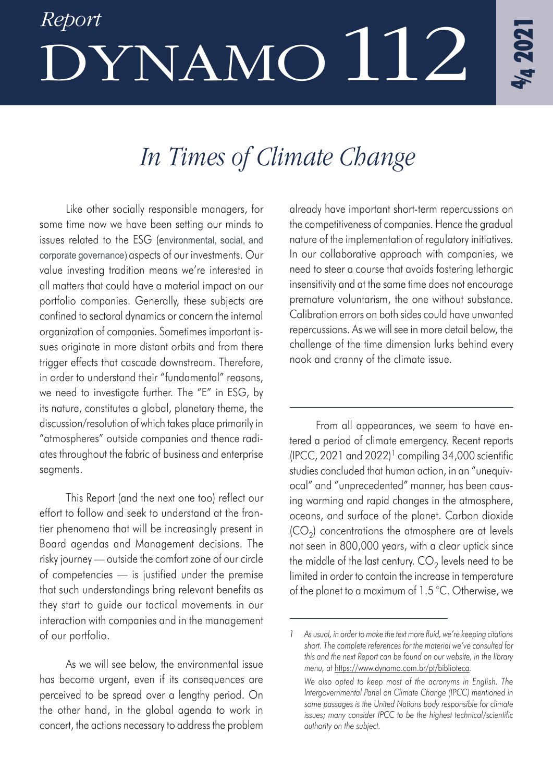# *Report* DYNAMO112

## *In Times of Climate Change*

Like other socially responsible managers, for some time now we have been setting our minds to issues related to the ESG (environmental, social, and corporate governance) aspects of our investments. Our value investing tradition means we're interested in all matters that could have a material impact on our portfolio companies. Generally, these subjects are confined to sectoral dynamics or concern the internal organization of companies. Sometimes important issues originate in more distant orbits and from there trigger effects that cascade downstream. Therefore, in order to understand their "fundamental" reasons, we need to investigate further. The "E" in ESG, by its nature, constitutes a global, planetary theme, the discussion/resolution of which takes place primarily in "atmospheres" outside companies and thence radiates throughout the fabric of business and enterprise segments.

This Report (and the next one too) reflect our effort to follow and seek to understand at the frontier phenomena that will be increasingly present in Board agendas and Management decisions. The risky journey — outside the comfort zone of our circle of competencies — is justified under the premise that such understandings bring relevant benefits as they start to guide our tactical movements in our interaction with companies and in the management of our portfolio.

As we will see below, the environmental issue has become urgent, even if its consequences are perceived to be spread over a lengthy period. On the other hand, in the global agenda to work in concert, the actions necessary to address the problem

already have important short-term repercussions on the competitiveness of companies. Hence the gradual nature of the implementation of regulatory initiatives. In our collaborative approach with companies, we need to steer a course that avoids fostering lethargic insensitivity and at the same time does not encourage premature voluntarism, the one without substance. Calibration errors on both sides could have unwanted repercussions. As we will see in more detail below, the challenge of the time dimension lurks behind every nook and cranny of the climate issue.

From all appearances, we seem to have entered a period of climate emergency. Recent reports  $(IPCC, 2021$  and  $2022)^1$  compiling 34,000 scientific studies concluded that human action, in an "unequivocal" and "unprecedented" manner, has been causing warming and rapid changes in the atmosphere, oceans, and surface of the planet. Carbon dioxide  $(CO<sub>2</sub>)$  concentrations the atmosphere are at levels not seen in 800,000 years, with a clear uptick since the middle of the last century.  $CO<sub>2</sub>$  levels need to be limited in order to contain the increase in temperature of the planet to a maximum of 1.5 °C. Otherwise, we

*<sup>1</sup> As usual, in order to make the text more fluid, we're keeping citations short. The complete references for the material we've consulted for this and the next Report can be found on our website, in the library menu, at* https://www.dynamo.com.br/pt/biblioteca*.* 

*We also opted to keep most of the acronyms in English. The Intergovernmental Panel on Climate Change (IPCC) mentioned in some passages is the United Nations body responsible for climate issues; many consider IPCC to be the highest technical/scientific authority on the subject.*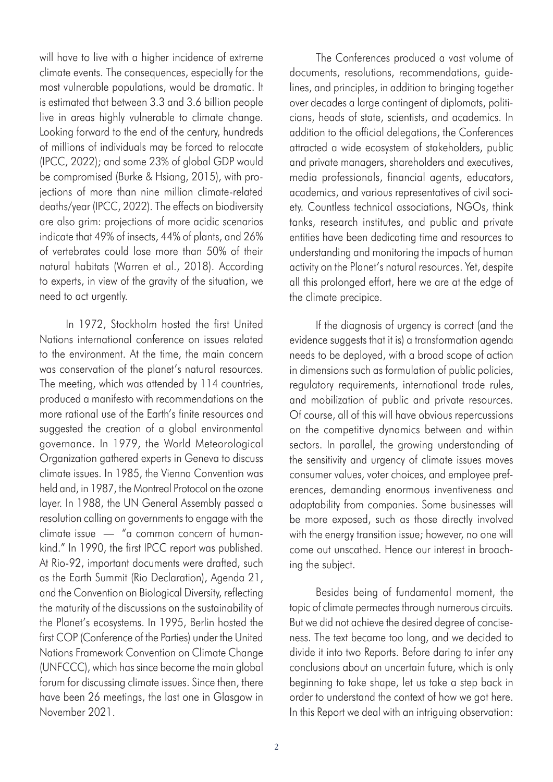will have to live with a higher incidence of extreme climate events. The consequences, especially for the most vulnerable populations, would be dramatic. It is estimated that between 3.3 and 3.6 billion people live in areas highly vulnerable to climate change. Looking forward to the end of the century, hundreds of millions of individuals may be forced to relocate (IPCC, 2022); and some 23% of global GDP would be compromised (Burke & Hsiang, 2015), with projections of more than nine million climate-related deaths/year (IPCC, 2022). The effects on biodiversity are also grim: projections of more acidic scenarios indicate that 49% of insects, 44% of plants, and 26% of vertebrates could lose more than 50% of their natural habitats (Warren et al., 2018). According to experts, in view of the gravity of the situation, we need to act urgently.

In 1972, Stockholm hosted the first United Nations international conference on issues related to the environment. At the time, the main concern was conservation of the planet's natural resources. The meeting, which was attended by 114 countries, produced a manifesto with recommendations on the more rational use of the Earth's finite resources and suggested the creation of a global environmental governance. In 1979, the World Meteorological Organization gathered experts in Geneva to discuss climate issues. In 1985, the Vienna Convention was held and, in 1987, the Montreal Protocol on the ozone layer. In 1988, the UN General Assembly passed a resolution calling on governments to engage with the climate issue — "a common concern of humankind." In 1990, the first IPCC report was published. At Rio-92, important documents were drafted, such as the Earth Summit (Rio Declaration), Agenda 21, and the Convention on Biological Diversity, reflecting the maturity of the discussions on the sustainability of the Planet's ecosystems. In 1995, Berlin hosted the first COP (Conference of the Parties) under the United Nations Framework Convention on Climate Change (UNFCCC), which has since become the main global forum for discussing climate issues. Since then, there have been 26 meetings, the last one in Glasgow in November 2021.

The Conferences produced a vast volume of documents, resolutions, recommendations, guidelines, and principles, in addition to bringing together over decades a large contingent of diplomats, politicians, heads of state, scientists, and academics. In addition to the official delegations, the Conferences attracted a wide ecosystem of stakeholders, public and private managers, shareholders and executives, media professionals, financial agents, educators, academics, and various representatives of civil society. Countless technical associations, NGOs, think tanks, research institutes, and public and private entities have been dedicating time and resources to understanding and monitoring the impacts of human activity on the Planet's natural resources. Yet, despite all this prolonged effort, here we are at the edge of the climate precipice.

If the diagnosis of urgency is correct (and the evidence suggests that it is) a transformation agenda needs to be deployed, with a broad scope of action in dimensions such as formulation of public policies, regulatory requirements, international trade rules, and mobilization of public and private resources. Of course, all of this will have obvious repercussions on the competitive dynamics between and within sectors. In parallel, the growing understanding of the sensitivity and urgency of climate issues moves consumer values, voter choices, and employee preferences, demanding enormous inventiveness and adaptability from companies. Some businesses will be more exposed, such as those directly involved with the energy transition issue; however, no one will come out unscathed. Hence our interest in broaching the subject.

Besides being of fundamental moment, the topic of climate permeates through numerous circuits. But we did not achieve the desired degree of conciseness. The text became too long, and we decided to divide it into two Reports. Before daring to infer any conclusions about an uncertain future, which is only beginning to take shape, let us take a step back in order to understand the context of how we got here. In this Report we deal with an intriguing observation: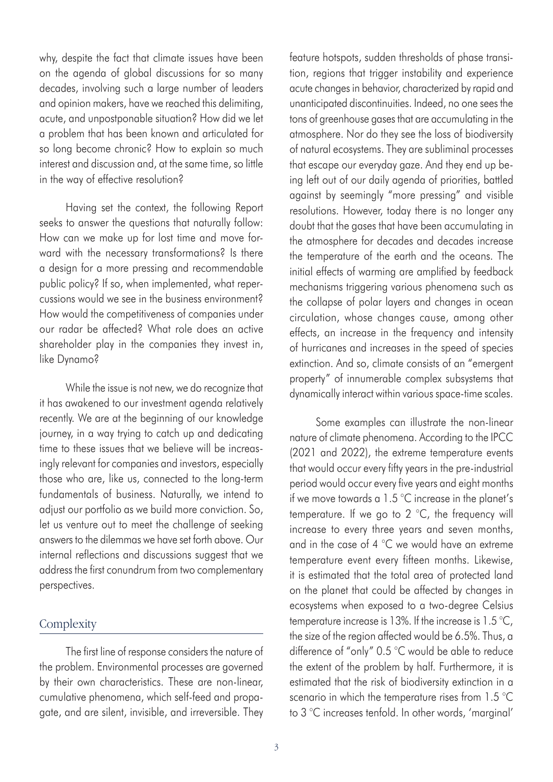why, despite the fact that climate issues have been on the agenda of global discussions for so many decades, involving such a large number of leaders and opinion makers, have we reached this delimiting, acute, and unpostponable situation? How did we let a problem that has been known and articulated for so long become chronic? How to explain so much interest and discussion and, at the same time, so little in the way of effective resolution?

Having set the context, the following Report seeks to answer the questions that naturally follow: How can we make up for lost time and move forward with the necessary transformations? Is there a design for a more pressing and recommendable public policy? If so, when implemented, what repercussions would we see in the business environment? How would the competitiveness of companies under our radar be affected? What role does an active shareholder play in the companies they invest in, like Dynamo?

While the issue is not new, we do recognize that it has awakened to our investment agenda relatively recently. We are at the beginning of our knowledge journey, in a way trying to catch up and dedicating time to these issues that we believe will be increasingly relevant for companies and investors, especially those who are, like us, connected to the long-term fundamentals of business. Naturally, we intend to adjust our portfolio as we build more conviction. So, let us venture out to meet the challenge of seeking answers to the dilemmas we have set forth above. Our internal reflections and discussions suggest that we address the first conundrum from two complementary perspectives.

#### **Complexity**

The first line of response considers the nature of the problem. Environmental processes are governed by their own characteristics. These are non-linear, cumulative phenomena, which self-feed and propagate, and are silent, invisible, and irreversible. They feature hotspots, sudden thresholds of phase transition, regions that trigger instability and experience acute changes in behavior, characterized by rapid and unanticipated discontinuities. Indeed, no one sees the tons of greenhouse gases that are accumulating in the atmosphere. Nor do they see the loss of biodiversity of natural ecosystems. They are subliminal processes that escape our everyday gaze. And they end up being left out of our daily agenda of priorities, battled against by seemingly "more pressing" and visible resolutions. However, today there is no longer any doubt that the gases that have been accumulating in the atmosphere for decades and decades increase the temperature of the earth and the oceans. The initial effects of warming are amplified by feedback mechanisms triggering various phenomena such as the collapse of polar layers and changes in ocean circulation, whose changes cause, among other effects, an increase in the frequency and intensity of hurricanes and increases in the speed of species extinction. And so, climate consists of an "emergent property" of innumerable complex subsystems that dynamically interact within various space-time scales.

Some examples can illustrate the non-linear nature of climate phenomena. According to the IPCC (2021 and 2022), the extreme temperature events that would occur every fifty years in the pre-industrial period would occur every five years and eight months if we move towards a 1.5 °C increase in the planet's temperature. If we go to 2 °C, the frequency will increase to every three years and seven months, and in the case of 4 °C we would have an extreme temperature event every fifteen months. Likewise, it is estimated that the total area of protected land on the planet that could be affected by changes in ecosystems when exposed to a two-degree Celsius temperature increase is 13%. If the increase is 1.5 °C, the size of the region affected would be 6.5%. Thus, a difference of "only" 0.5 °C would be able to reduce the extent of the problem by half. Furthermore, it is estimated that the risk of biodiversity extinction in a scenario in which the temperature rises from 1.5 °C to 3 °C increases tenfold. In other words, 'marginal'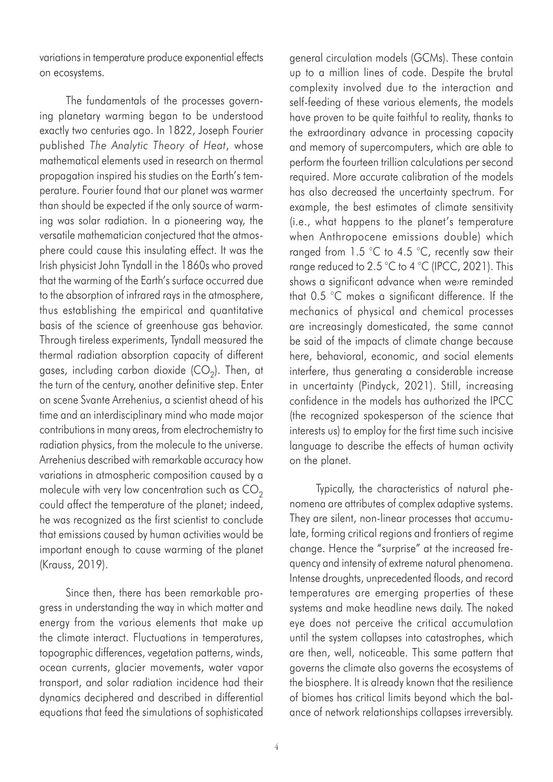variations in temperature produce exponential effects on ecosystems.

The fundamentals of the processes governing planetary warming began to be understood exactly two centuries ago. In 1822, Joseph Fourier published *The Analytic Theory of Heat*, whose mathematical elements used in research on thermal propagation inspired his studies on the Earth's temperature. Fourier found that our planet was warmer than should be expected if the only source of warming was solar radiation. In a pioneering way, the versatile mathematician conjectured that the atmosphere could cause this insulating effect. It was the Irish physicist John Tyndall in the 1860s who proved that the warming of the Earth's surface occurred due to the absorption of infrared rays in the atmosphere, thus establishing the empirical and quantitative basis of the science of greenhouse gas behavior. Through tireless experiments, Tyndall measured the thermal radiation absorption capacity of different gases, including carbon dioxide  $(CO<sub>2</sub>)$ . Then, at the turn of the century, another definitive step. Enter on scene Svante Arrehenius, a scientist ahead of his time and an interdisciplinary mind who made major contributions in many areas, from electrochemistry to radiation physics, from the molecule to the universe. Arrehenius described with remarkable accuracy how variations in atmospheric composition caused by a molecule with very low concentration such as  $CO<sub>2</sub>$ could affect the temperature of the planet; indeed, he was recognized as the first scientist to conclude that emissions caused by human activities would be important enough to cause warming of the planet (Krauss, 2019).

Since then, there has been remarkable progress in understanding the way in which matter and energy from the various elements that make up the climate interact. Fluctuations in temperatures, topographic differences, vegetation patterns, winds, ocean currents, glacier movements, water vapor transport, and solar radiation incidence had their dynamics deciphered and described in differential equations that feed the simulations of sophisticated

general circulation models (GCMs). These contain up to a million lines of code. Despite the brutal complexity involved due to the interaction and self-feeding of these various elements, the models have proven to be quite faithful to reality, thanks to the extraordinary advance in processing capacity and memory of supercomputers, which are able to perform the fourteen trillion calculations per second required. More accurate calibration of the models has also decreased the uncertainty spectrum. For example, the best estimates of climate sensitivity (i.e., what happens to the planet's temperature when Anthropocene emissions double) which ranged from 1.5 °C to 4.5 °C, recently saw their range reduced to 2.5 °C to 4 °C (IPCC, 2021). This shows a significant advance when we›re reminded that 0.5 °C makes a significant difference. If the mechanics of physical and chemical processes are increasingly domesticated, the same cannot be said of the impacts of climate change because here, behavioral, economic, and social elements interfere, thus generating a considerable increase in uncertainty (Pindyck, 2021). Still, increasing confidence in the models has authorized the IPCC (the recognized spokesperson of the science that interests us) to employ for the first time such incisive language to describe the effects of human activity on the planet.

Typically, the characteristics of natural phenomena are attributes of complex adaptive systems. They are silent, non-linear processes that accumulate, forming critical regions and frontiers of regime change. Hence the "surprise" at the increased frequency and intensity of extreme natural phenomena. Intense droughts, unprecedented floods, and record temperatures are emerging properties of these systems and make headline news daily. The naked eye does not perceive the critical accumulation until the system collapses into catastrophes, which are then, well, noticeable. This same pattern that governs the climate also governs the ecosystems of the biosphere. It is already known that the resilience of biomes has critical limits beyond which the balance of network relationships collapses irreversibly.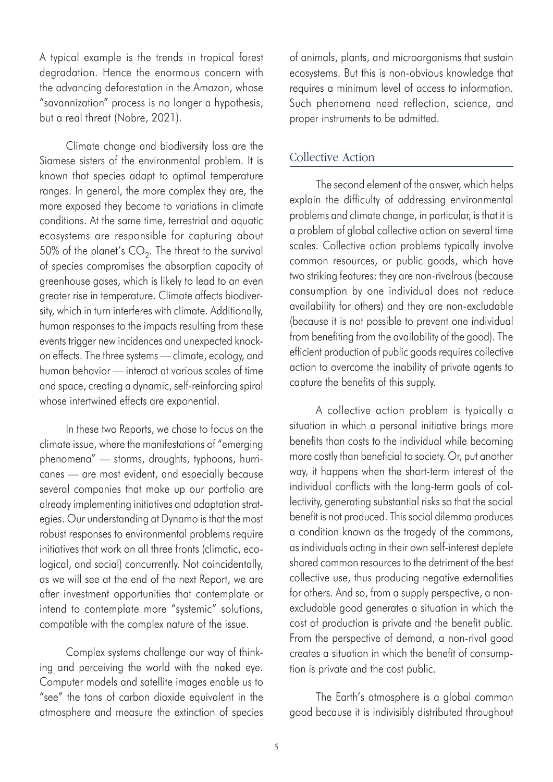A typical example is the trends in tropical forest degradation. Hence the enormous concern with the advancing deforestation in the Amazon, whose "savannization" process is no longer a hypothesis, but a real threat (Nobre, 2021).

Climate change and biodiversity loss are the Siamese sisters of the environmental problem. It is known that species adapt to optimal temperature ranges. In general, the more complex they are, the more exposed they become to variations in climate conditions. At the same time, terrestrial and aquatic ecosystems are responsible for capturing about 50% of the planet's  $CO<sub>2</sub>$ . The threat to the survival of species compromises the absorption capacity of greenhouse gases, which is likely to lead to an even greater rise in temperature. Climate affects biodiversity, which in turn interferes with climate. Additionally, human responses to the impacts resulting from these events trigger new incidences and unexpected knockon effects. The three systems — climate, ecology, and human behavior — interact at various scales of time and space, creating a dynamic, self-reinforcing spiral whose intertwined effects are exponential.

In these two Reports, we chose to focus on the climate issue, where the manifestations of "emerging phenomena" — storms, droughts, typhoons, hurricanes — are most evident, and especially because several companies that make up our portfolio are already implementing initiatives and adaptation strategies. Our understanding at Dynamo is that the most robust responses to environmental problems require initiatives that work on all three fronts (climatic, ecological, and social) concurrently. Not coincidentally, as we will see at the end of the next Report, we are after investment opportunities that contemplate or intend to contemplate more "systemic" solutions, compatible with the complex nature of the issue.

Complex systems challenge our way of thinking and perceiving the world with the naked eye. Computer models and satellite images enable us to "see" the tons of carbon dioxide equivalent in the atmosphere and measure the extinction of species of animals, plants, and microorganisms that sustain ecosystems. But this is non-obvious knowledge that requires a minimum level of access to information. Such phenomena need reflection, science, and proper instruments to be admitted.

#### Collective Action

The second element of the answer, which helps explain the difficulty of addressing environmental problems and climate change, in particular, is that it is a problem of global collective action on several time scales. Collective action problems typically involve common resources, or public goods, which have two striking features: they are non-rivalrous (because consumption by one individual does not reduce availability for others) and they are non-excludable (because it is not possible to prevent one individual from benefiting from the availability of the good). The efficient production of public goods requires collective action to overcome the inability of private agents to capture the benefits of this supply.

A collective action problem is typically a situation in which a personal initiative brings more benefits than costs to the individual while becoming more costly than beneficial to society. Or, put another way, it happens when the short-term interest of the individual conflicts with the long-term goals of collectivity, generating substantial risks so that the social benefit is not produced. This social dilemma produces a condition known as the tragedy of the commons, as individuals acting in their own self-interest deplete shared common resources to the detriment of the best collective use, thus producing negative externalities for others. And so, from a supply perspective, a nonexcludable good generates a situation in which the cost of production is private and the benefit public. From the perspective of demand, a non-rival good creates a situation in which the benefit of consumption is private and the cost public.

The Earth's atmosphere is a global common good because it is indivisibly distributed throughout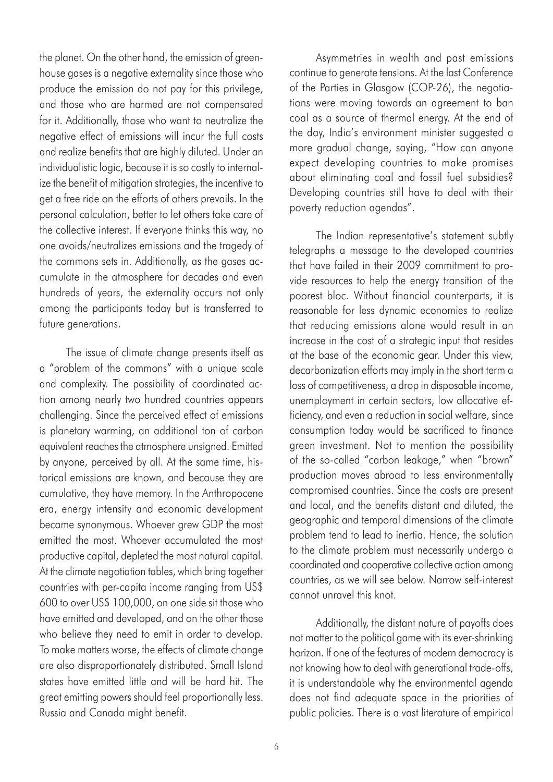the planet. On the other hand, the emission of greenhouse gases is a negative externality since those who produce the emission do not pay for this privilege, and those who are harmed are not compensated for it. Additionally, those who want to neutralize the negative effect of emissions will incur the full costs and realize benefits that are highly diluted. Under an individualistic logic, because it is so costly to internalize the benefit of mitigation strategies, the incentive to get a free ride on the efforts of others prevails. In the personal calculation, better to let others take care of the collective interest. If everyone thinks this way, no one avoids/neutralizes emissions and the tragedy of the commons sets in. Additionally, as the gases accumulate in the atmosphere for decades and even hundreds of years, the externality occurs not only among the participants today but is transferred to future generations.

The issue of climate change presents itself as a "problem of the commons" with a unique scale and complexity. The possibility of coordinated action among nearly two hundred countries appears challenging. Since the perceived effect of emissions is planetary warming, an additional ton of carbon equivalent reaches the atmosphere unsigned. Emitted by anyone, perceived by all. At the same time, historical emissions are known, and because they are cumulative, they have memory. In the Anthropocene era, energy intensity and economic development became synonymous. Whoever grew GDP the most emitted the most. Whoever accumulated the most productive capital, depleted the most natural capital. At the climate negotiation tables, which bring together countries with per-capita income ranging from US\$ 600 to over US\$ 100,000, on one side sit those who have emitted and developed, and on the other those who believe they need to emit in order to develop. To make matters worse, the effects of climate change are also disproportionately distributed. Small Island states have emitted little and will be hard hit. The great emitting powers should feel proportionally less. Russia and Canada might benefit.

Asymmetries in wealth and past emissions continue to generate tensions. At the last Conference of the Parties in Glasgow (COP-26), the negotiations were moving towards an agreement to ban coal as a source of thermal energy. At the end of the day, India's environment minister suggested a more gradual change, saying, "How can anyone expect developing countries to make promises about eliminating coal and fossil fuel subsidies? Developing countries still have to deal with their poverty reduction agendas".

The Indian representative's statement subtly telegraphs a message to the developed countries that have failed in their 2009 commitment to provide resources to help the energy transition of the poorest bloc. Without financial counterparts, it is reasonable for less dynamic economies to realize that reducing emissions alone would result in an increase in the cost of a strategic input that resides at the base of the economic gear. Under this view, decarbonization efforts may imply in the short term a loss of competitiveness, a drop in disposable income, unemployment in certain sectors, low allocative efficiency, and even a reduction in social welfare, since consumption today would be sacrificed to finance green investment. Not to mention the possibility of the so-called "carbon leakage," when "brown" production moves abroad to less environmentally compromised countries. Since the costs are present and local, and the benefits distant and diluted, the geographic and temporal dimensions of the climate problem tend to lead to inertia. Hence, the solution to the climate problem must necessarily undergo a coordinated and cooperative collective action among countries, as we will see below. Narrow self-interest cannot unravel this knot.

Additionally, the distant nature of payoffs does not matter to the political game with its ever-shrinking horizon. If one of the features of modern democracy is not knowing how to deal with generational trade-offs, it is understandable why the environmental agenda does not find adequate space in the priorities of public policies. There is a vast literature of empirical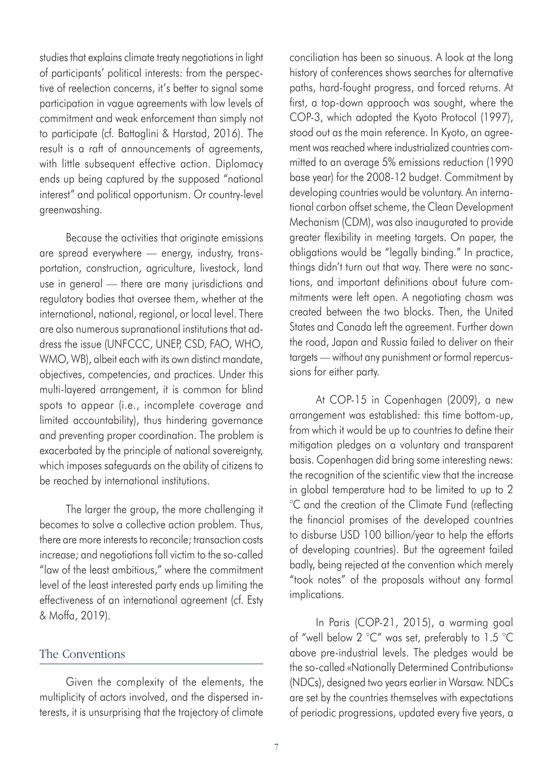studies that explains climate treaty negotiations in light of participants' political interests: from the perspective of reelection concerns, it's better to signal some participation in vague agreements with low levels of commitment and weak enforcement than simply not to participate (cf. Battaglini & Harstad, 2016). The result is a raft of announcements of agreements, with little subsequent effective action. Diplomacy ends up being captured by the supposed "national interest" and political opportunism. Or country-level greenwashing.

Because the activities that originate emissions are spread everywhere — energy, industry, transportation, construction, agriculture, livestock, land use in general — there are many jurisdictions and regulatory bodies that oversee them, whether at the international, national, regional, or local level. There are also numerous supranational institutions that address the issue (UNFCCC, UNEP, CSD, FAO, WHO, WMO, WB), albeit each with its own distinct mandate, objectives, competencies, and practices. Under this multi-layered arrangement, it is common for blind spots to appear (i.e., incomplete coverage and limited accountability), thus hindering governance and preventing proper coordination. The problem is exacerbated by the principle of national sovereignty, which imposes safeguards on the ability of citizens to be reached by international institutions.

The larger the group, the more challenging it becomes to solve a collective action problem. Thus, there are more interests to reconcile; transaction costs increase; and negotiations fall victim to the so-called "law of the least ambitious," where the commitment level of the least interested party ends up limiting the effectiveness of an international agreement (cf. Esty & Moffa, 2019).

#### The Conventions

Given the complexity of the elements, the multiplicity of actors involved, and the dispersed interests, it is unsurprising that the trajectory of climate conciliation has been so sinuous. A look at the long history of conferences shows searches for alternative paths, hard-fought progress, and forced returns. At first, a top-down approach was sought, where the COP-3, which adopted the Kyoto Protocol (1997), stood out as the main reference. In Kyoto, an agreement was reached where industrialized countries committed to an average 5% emissions reduction (1990 base year) for the 2008-12 budget. Commitment by developing countries would be voluntary. An international carbon offset scheme, the Clean Development Mechanism (CDM), was also inaugurated to provide greater flexibility in meeting targets. On paper, the obligations would be "legally binding." In practice, things didn't turn out that way. There were no sanctions, and important definitions about future commitments were left open. A negotiating chasm was created between the two blocks. Then, the United States and Canada left the agreement. Further down the road, Japan and Russia failed to deliver on their targets — without any punishment or formal repercussions for either party.

At COP-15 in Copenhagen (2009), a new arrangement was established: this time bottom-up, from which it would be up to countries to define their mitigation pledges on a voluntary and transparent basis. Copenhagen did bring some interesting news: the recognition of the scientific view that the increase in global temperature had to be limited to up to 2 °C and the creation of the Climate Fund (reflecting the financial promises of the developed countries to disburse USD 100 billion/year to help the efforts of developing countries). But the agreement failed badly, being rejected at the convention which merely "took notes" of the proposals without any formal implications.

In Paris (COP-21, 2015), a warming goal of "well below 2 °C" was set, preferably to 1.5 °C above pre-industrial levels. The pledges would be the so-called «Nationally Determined Contributions» (NDCs), designed two years earlier in Warsaw. NDCs are set by the countries themselves with expectations of periodic progressions, updated every five years, a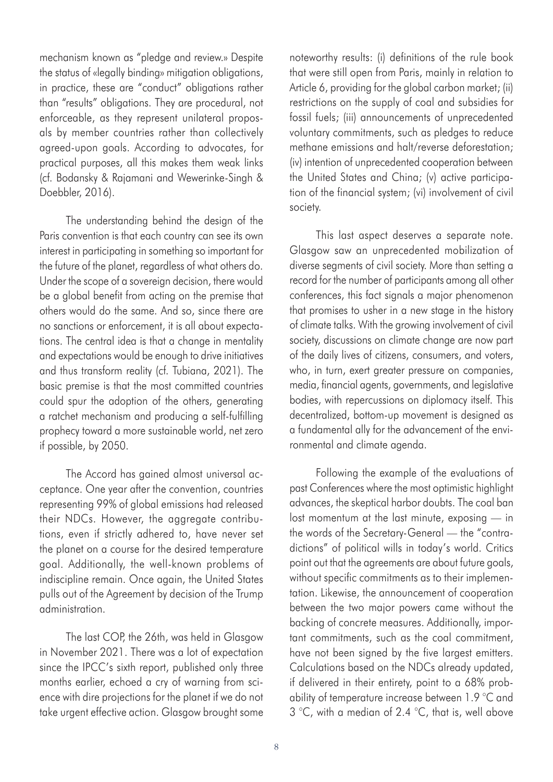mechanism known as "pledge and review.» Despite the status of «legally binding» mitigation obligations, in practice, these are "conduct" obligations rather than "results" obligations. They are procedural, not enforceable, as they represent unilateral proposals by member countries rather than collectively agreed-upon goals. According to advocates, for practical purposes, all this makes them weak links (cf. Bodansky & Rajamani and Wewerinke-Singh & Doebbler, 2016).

The understanding behind the design of the Paris convention is that each country can see its own interest in participating in something so important for the future of the planet, regardless of what others do. Under the scope of a sovereign decision, there would be a global benefit from acting on the premise that others would do the same. And so, since there are no sanctions or enforcement, it is all about expectations. The central idea is that a change in mentality and expectations would be enough to drive initiatives and thus transform reality (cf. Tubiana, 2021). The basic premise is that the most committed countries could spur the adoption of the others, generating a ratchet mechanism and producing a self-fulfilling prophecy toward a more sustainable world, net zero if possible, by 2050.

The Accord has gained almost universal acceptance. One year after the convention, countries representing 99% of global emissions had released their NDCs. However, the aggregate contributions, even if strictly adhered to, have never set the planet on a course for the desired temperature goal. Additionally, the well-known problems of indiscipline remain. Once again, the United States pulls out of the Agreement by decision of the Trump administration.

The last COP, the 26th, was held in Glasgow in November 2021. There was a lot of expectation since the IPCC's sixth report, published only three months earlier, echoed a cry of warning from science with dire projections for the planet if we do not take urgent effective action. Glasgow brought some noteworthy results: (i) definitions of the rule book that were still open from Paris, mainly in relation to Article 6, providing for the global carbon market; (ii) restrictions on the supply of coal and subsidies for fossil fuels; (iii) announcements of unprecedented voluntary commitments, such as pledges to reduce methane emissions and halt/reverse deforestation; (iv) intention of unprecedented cooperation between the United States and China; (v) active participation of the financial system; (vi) involvement of civil society.

This last aspect deserves a separate note. Glasgow saw an unprecedented mobilization of diverse segments of civil society. More than setting a record for the number of participants among all other conferences, this fact signals a major phenomenon that promises to usher in a new stage in the history of climate talks. With the growing involvement of civil society, discussions on climate change are now part of the daily lives of citizens, consumers, and voters, who, in turn, exert greater pressure on companies, media, financial agents, governments, and legislative bodies, with repercussions on diplomacy itself. This decentralized, bottom-up movement is designed as a fundamental ally for the advancement of the environmental and climate agenda.

Following the example of the evaluations of past Conferences where the most optimistic highlight advances, the skeptical harbor doubts. The coal ban lost momentum at the last minute, exposing — in the words of the Secretary-General — the "contradictions" of political wills in today's world. Critics point out that the agreements are about future goals, without specific commitments as to their implementation. Likewise, the announcement of cooperation between the two major powers came without the backing of concrete measures. Additionally, important commitments, such as the coal commitment, have not been signed by the five largest emitters. Calculations based on the NDCs already updated, if delivered in their entirety, point to a 68% probability of temperature increase between 1.9 °C and 3 °C, with a median of 2.4 °C, that is, well above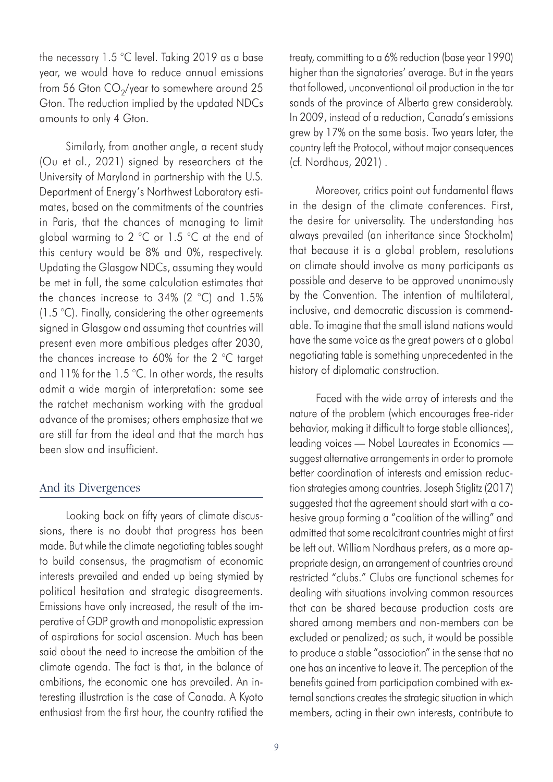the necessary 1.5 °C level. Taking 2019 as a base year, we would have to reduce annual emissions from 56 Gton  $CO<sub>2</sub>/year$  to somewhere around 25 Gton. The reduction implied by the updated NDCs amounts to only 4 Gton.

Similarly, from another angle, a recent study (Ou et al., 2021) signed by researchers at the University of Maryland in partnership with the U.S. Department of Energy's Northwest Laboratory estimates, based on the commitments of the countries in Paris, that the chances of managing to limit global warming to 2 °C or 1.5 °C at the end of this century would be 8% and 0%, respectively. Updating the Glasgow NDCs, assuming they would be met in full, the same calculation estimates that the chances increase to 34% (2 °C) and 1.5% (1.5 °C). Finally, considering the other agreements signed in Glasgow and assuming that countries will present even more ambitious pledges after 2030, the chances increase to 60% for the 2 °C target and 11% for the 1.5 °C. In other words, the results admit a wide margin of interpretation: some see the ratchet mechanism working with the gradual advance of the promises; others emphasize that we are still far from the ideal and that the march has been slow and insufficient.

#### And its Divergences

Looking back on fifty years of climate discussions, there is no doubt that progress has been made. But while the climate negotiating tables sought to build consensus, the pragmatism of economic interests prevailed and ended up being stymied by political hesitation and strategic disagreements. Emissions have only increased, the result of the imperative of GDP growth and monopolistic expression of aspirations for social ascension. Much has been said about the need to increase the ambition of the climate agenda. The fact is that, in the balance of ambitions, the economic one has prevailed. An interesting illustration is the case of Canada. A Kyoto enthusiast from the first hour, the country ratified the

treaty, committing to a 6% reduction (base year 1990) higher than the signatories' average. But in the years that followed, unconventional oil production in the tar sands of the province of Alberta grew considerably. In 2009, instead of a reduction, Canada's emissions grew by 17% on the same basis. Two years later, the country left the Protocol, without major consequences (cf. Nordhaus, 2021) .

Moreover, critics point out fundamental flaws in the design of the climate conferences. First, the desire for universality. The understanding has always prevailed (an inheritance since Stockholm) that because it is a global problem, resolutions on climate should involve as many participants as possible and deserve to be approved unanimously by the Convention. The intention of multilateral, inclusive, and democratic discussion is commendable. To imagine that the small island nations would have the same voice as the great powers at a global negotiating table is something unprecedented in the history of diplomatic construction.

Faced with the wide array of interests and the nature of the problem (which encourages free-rider behavior, making it difficult to forge stable alliances), leading voices — Nobel Laureates in Economics suggest alternative arrangements in order to promote better coordination of interests and emission reduction strategies among countries. Joseph Stiglitz (2017) suggested that the agreement should start with a cohesive group forming a "coalition of the willing" and admitted that some recalcitrant countries might at first be left out. William Nordhaus prefers, as a more appropriate design, an arrangement of countries around restricted "clubs." Clubs are functional schemes for dealing with situations involving common resources that can be shared because production costs are shared among members and non-members can be excluded or penalized; as such, it would be possible to produce a stable "association" in the sense that no one has an incentive to leave it. The perception of the benefits gained from participation combined with external sanctions creates the strategic situation in which members, acting in their own interests, contribute to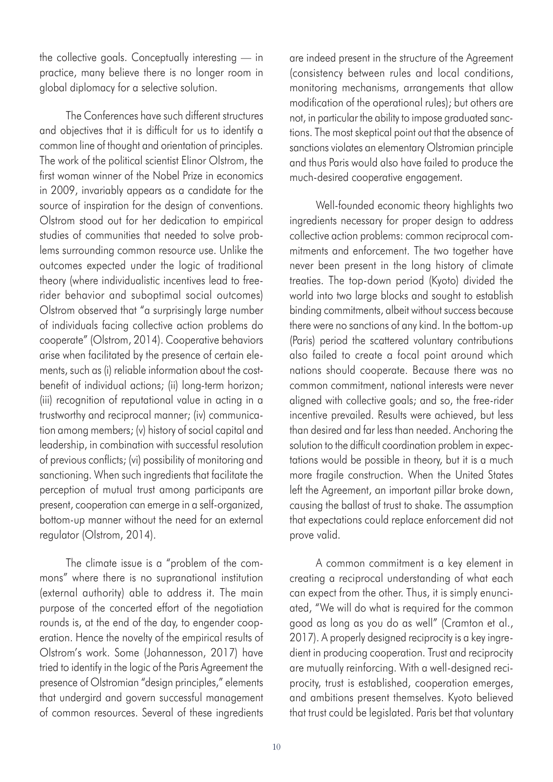the collective goals. Conceptually interesting — in practice, many believe there is no longer room in global diplomacy for a selective solution.

The Conferences have such different structures and objectives that it is difficult for us to identify a common line of thought and orientation of principles. The work of the political scientist Elinor Olstrom, the first woman winner of the Nobel Prize in economics in 2009, invariably appears as a candidate for the source of inspiration for the design of conventions. Olstrom stood out for her dedication to empirical studies of communities that needed to solve problems surrounding common resource use. Unlike the outcomes expected under the logic of traditional theory (where individualistic incentives lead to freerider behavior and suboptimal social outcomes) Olstrom observed that "a surprisingly large number of individuals facing collective action problems do cooperate" (Olstrom, 2014). Cooperative behaviors arise when facilitated by the presence of certain elements, such as (i) reliable information about the costbenefit of individual actions; (ii) long-term horizon; (iii) recognition of reputational value in acting in a trustworthy and reciprocal manner; (iv) communication among members; (v) history of social capital and leadership, in combination with successful resolution of previous conflicts; (vi) possibility of monitoring and sanctioning. When such ingredients that facilitate the perception of mutual trust among participants are present, cooperation can emerge in a self-organized, bottom-up manner without the need for an external regulator (Olstrom, 2014).

The climate issue is a "problem of the commons" where there is no supranational institution (external authority) able to address it. The main purpose of the concerted effort of the negotiation rounds is, at the end of the day, to engender cooperation. Hence the novelty of the empirical results of Olstrom's work. Some (Johannesson, 2017) have tried to identify in the logic of the Paris Agreement the presence of Olstromian "design principles," elements that undergird and govern successful management of common resources. Several of these ingredients are indeed present in the structure of the Agreement (consistency between rules and local conditions, monitoring mechanisms, arrangements that allow modification of the operational rules); but others are not, in particular the ability to impose graduated sanctions. The most skeptical point out that the absence of sanctions violates an elementary Olstromian principle and thus Paris would also have failed to produce the much-desired cooperative engagement.

Well-founded economic theory highlights two ingredients necessary for proper design to address collective action problems: common reciprocal commitments and enforcement. The two together have never been present in the long history of climate treaties. The top-down period (Kyoto) divided the world into two large blocks and sought to establish binding commitments, albeit without success because there were no sanctions of any kind. In the bottom-up (Paris) period the scattered voluntary contributions also failed to create a focal point around which nations should cooperate. Because there was no common commitment, national interests were never aligned with collective goals; and so, the free-rider incentive prevailed. Results were achieved, but less than desired and far less than needed. Anchoring the solution to the difficult coordination problem in expectations would be possible in theory, but it is a much more fragile construction. When the United States left the Agreement, an important pillar broke down, causing the ballast of trust to shake. The assumption that expectations could replace enforcement did not prove valid.

A common commitment is a key element in creating a reciprocal understanding of what each can expect from the other. Thus, it is simply enunciated, "We will do what is required for the common good as long as you do as well" (Cramton et al., 2017). A properly designed reciprocity is a key ingredient in producing cooperation. Trust and reciprocity are mutually reinforcing. With a well-designed reciprocity, trust is established, cooperation emerges, and ambitions present themselves. Kyoto believed that trust could be legislated. Paris bet that voluntary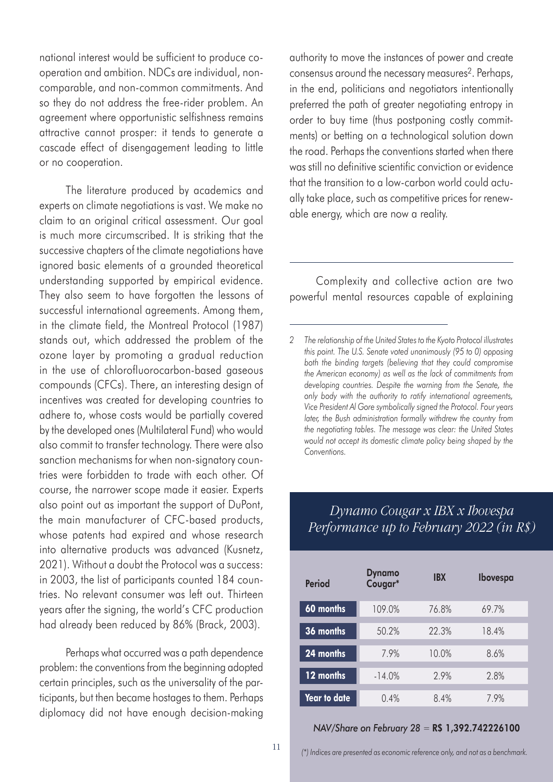national interest would be sufficient to produce cooperation and ambition. NDCs are individual, noncomparable, and non-common commitments. And so they do not address the free-rider problem. An agreement where opportunistic selfishness remains attractive cannot prosper: it tends to generate a cascade effect of disengagement leading to little or no cooperation.

The literature produced by academics and experts on climate negotiations is vast. We make no claim to an original critical assessment. Our goal is much more circumscribed. It is striking that the successive chapters of the climate negotiations have ignored basic elements of a grounded theoretical understanding supported by empirical evidence. They also seem to have forgotten the lessons of successful international agreements. Among them, in the climate field, the Montreal Protocol (1987) stands out, which addressed the problem of the ozone layer by promoting a gradual reduction in the use of chlorofluorocarbon-based gaseous compounds (CFCs). There, an interesting design of incentives was created for developing countries to adhere to, whose costs would be partially covered by the developed ones (Multilateral Fund) who would also commit to transfer technology. There were also sanction mechanisms for when non-signatory countries were forbidden to trade with each other. Of course, the narrower scope made it easier. Experts also point out as important the support of DuPont, the main manufacturer of CFC-based products, whose patents had expired and whose research into alternative products was advanced (Kusnetz, 2021). Without a doubt the Protocol was a success: in 2003, the list of participants counted 184 countries. No relevant consumer was left out. Thirteen years after the signing, the world's CFC production had already been reduced by 86% (Brack, 2003).

Perhaps what occurred was a path dependence problem: the conventions from the beginning adopted certain principles, such as the universality of the participants, but then became hostages to them. Perhaps diplomacy did not have enough decision-making authority to move the instances of power and create consensus around the necessary measures2. Perhaps, in the end, politicians and negotiators intentionally preferred the path of greater negotiating entropy in order to buy time (thus postponing costly commitments) or betting on a technological solution down the road. Perhaps the conventions started when there was still no definitive scientific conviction or evidence that the transition to a low-carbon world could actually take place, such as competitive prices for renewable energy, which are now a reality.

Complexity and collective action are two powerful mental resources capable of explaining

#### *Dynamo Cougar x IBX x Ibovespa Performance up to February 2022 (in R\$)*

| Period             | <b>Dynamo</b><br>Cougar* | <b>IBX</b> | Ibovespa |
|--------------------|--------------------------|------------|----------|
| 60 months          | 109.0%                   | 76.8%      | 69.7%    |
| 36 months          | 50.2%                    | 22.3%      | 18.4%    |
| $\sqrt{24}$ months | 7.9%                     | 10.0%      | 8.6%     |
| 12 months          | $-14.0%$                 | 2.9%       | 2.8%     |
| Year to date       | 0.4%                     | 8.4%       | 7.9%     |

#### *NAV/Share on February 28* = R\$ 1,392.742226100

*<sup>2</sup> The relationship of the United States to the Kyoto Protocol illustrates this point. The U.S. Senate voted unanimously (95 to 0) opposing both the binding targets (believing that they could compromise the American economy) as well as the lack of commitments from developing countries. Despite the warning from the Senate, the only body with the authority to ratify international agreements, Vice President Al Gore symbolically signed the Protocol. Four years later, the Bush administration formally withdrew the country from the negotiating tables. The message was clear: the United States would not accept its domestic climate policy being shaped by the Conventions.*